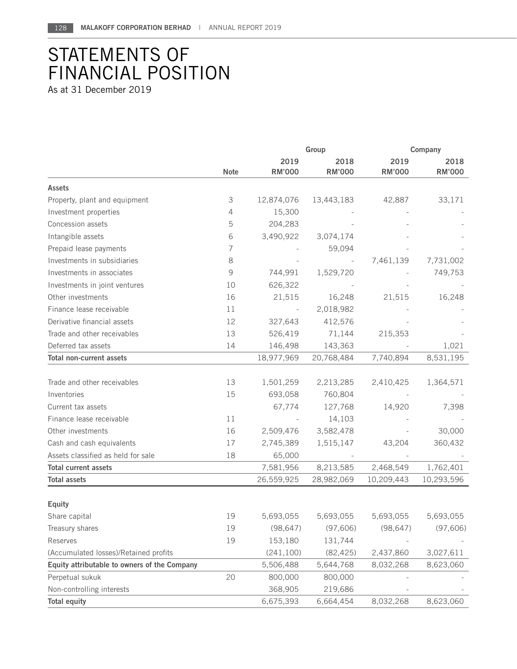## STATEMENTS OF FINANCIAL POSITION

As at 31 December 2019

|                                              |             | Group                 |                       | Company               |                       |
|----------------------------------------------|-------------|-----------------------|-----------------------|-----------------------|-----------------------|
|                                              | <b>Note</b> | 2019<br><b>RM'000</b> | 2018<br><b>RM'000</b> | 2019<br><b>RM'000</b> | 2018<br><b>RM'000</b> |
| <b>Assets</b>                                |             |                       |                       |                       |                       |
| Property, plant and equipment                | 3           | 12,874,076            | 13,443,183            | 42,887                | 33,171                |
| Investment properties                        | 4           | 15,300                |                       |                       |                       |
| Concession assets                            | 5           | 204,283               |                       |                       |                       |
| Intangible assets                            | 6           | 3,490,922             | 3,074,174             |                       |                       |
| Prepaid lease payments                       | 7           |                       | 59,094                |                       |                       |
| Investments in subsidiaries                  | 8           |                       |                       | 7,461,139             | 7,731,002             |
| Investments in associates                    | 9           | 744,991               | 1,529,720             |                       | 749,753               |
| Investments in joint ventures                | 10          | 626,322               |                       |                       |                       |
| Other investments                            | 16          | 21,515                | 16,248                | 21,515                | 16,248                |
| Finance lease receivable                     | 11          |                       | 2,018,982             |                       |                       |
| Derivative financial assets                  | 12          | 327,643               | 412,576               |                       |                       |
| Trade and other receivables                  | 13          | 526,419               | 71,144                | 215,353               |                       |
| Deferred tax assets                          | 14          | 146,498               | 143,363               |                       | 1,021                 |
| <b>Total non-current assets</b>              |             | 18,977,969            | 20,768,484            | 7,740,894             | 8,531,195             |
| Trade and other receivables                  | 13          | 1,501,259             | 2,213,285             | 2,410,425             | 1,364,571             |
| Inventories                                  | 15          | 693,058               | 760,804               |                       |                       |
| Current tax assets                           |             | 67,774                | 127,768               | 14,920                | 7,398                 |
| Finance lease receivable                     | 11          |                       | 14,103                |                       |                       |
| Other investments                            | 16          | 2,509,476             | 3,582,478             |                       | 30,000                |
| Cash and cash equivalents                    | 17          | 2,745,389             | 1,515,147             | 43,204                | 360,432               |
| Assets classified as held for sale           | 18          | 65,000                |                       |                       |                       |
| <b>Total current assets</b>                  |             | 7,581,956             | 8,213,585             | 2,468,549             | 1,762,401             |
| <b>Total assets</b>                          |             | 26,559,925            | 28,982,069            | 10,209,443            | 10,293,596            |
|                                              |             |                       |                       |                       |                       |
| <b>Equity</b>                                |             |                       |                       |                       |                       |
| Share capital                                | 19          | 5,693,055             | 5,693,055             | 5,693,055             | 5,693,055             |
| Treasury shares                              | 19          | (98, 647)             | (97, 606)             | (98, 647)             | (97, 606)             |
| Reserves                                     | 19          | 153,180               | 131,744               |                       |                       |
| (Accumulated losses)/Retained profits        |             | (241, 100)            | (82, 425)             | 2,437,860             | 3,027,611             |
| Equity attributable to owners of the Company |             | 5,506,488             | 5,644,768             | 8,032,268             | 8,623,060             |
| Perpetual sukuk                              | 20          | 800,000               | 800,000               |                       |                       |
| Non-controlling interests                    |             | 368,905               | 219,686               |                       |                       |
| <b>Total equity</b>                          |             | 6,675,393             | 6,664,454             | 8,032,268             | 8,623,060             |